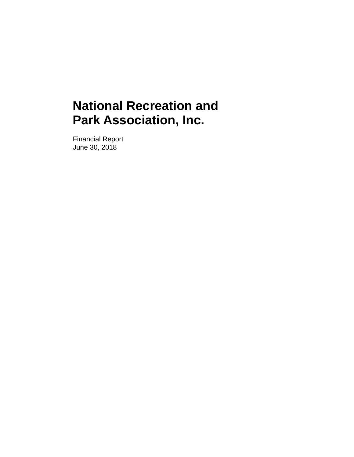Financial Report June 30, 2018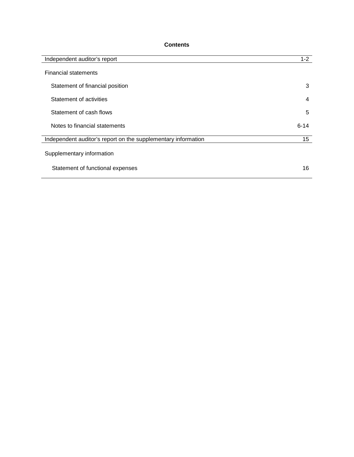# **Contents**

| Independent auditor's report                                  | $1 - 2$  |
|---------------------------------------------------------------|----------|
| <b>Financial statements</b>                                   |          |
| Statement of financial position                               | 3        |
| Statement of activities                                       | 4        |
| Statement of cash flows                                       | 5        |
| Notes to financial statements                                 | $6 - 14$ |
| Independent auditor's report on the supplementary information | 15       |
| Supplementary information                                     |          |
| Statement of functional expenses                              | 16       |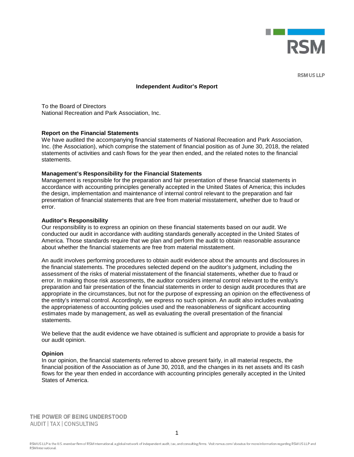

**RSMUSLLP** 

#### **Independent Auditor's Report**

To the Board of Directors National Recreation and Park Association, Inc.

#### **Report on the Financial Statements**

We have audited the accompanying financial statements of National Recreation and Park Association, Inc. (the Association), which comprise the statement of financial position as of June 30, 2018, the related statements of activities and cash flows for the year then ended, and the related notes to the financial statements.

#### **Management's Responsibility for the Financial Statements**

Management is responsible for the preparation and fair presentation of these financial statements in accordance with accounting principles generally accepted in the United States of America; this includes the design, implementation and maintenance of internal control relevant to the preparation and fair presentation of financial statements that are free from material misstatement, whether due to fraud or error.

#### **Auditor's Responsibility**

Our responsibility is to express an opinion on these financial statements based on our audit. We conducted our audit in accordance with auditing standards generally accepted in the United States of America. Those standards require that we plan and perform the audit to obtain reasonable assurance about whether the financial statements are free from material misstatement.

An audit involves performing procedures to obtain audit evidence about the amounts and disclosures in the financial statements. The procedures selected depend on the auditor's judgment, including the assessment of the risks of material misstatement of the financial statements, whether due to fraud or error. In making those risk assessments, the auditor considers internal control relevant to the entity's preparation and fair presentation of the financial statements in order to design audit procedures that are appropriate in the circumstances, but not for the purpose of expressing an opinion on the effectiveness of the entity's internal control. Accordingly, we express no such opinion. An audit also includes evaluating the appropriateness of accounting policies used and the reasonableness of significant accounting estimates made by management, as well as evaluating the overall presentation of the financial statements.

We believe that the audit evidence we have obtained is sufficient and appropriate to provide a basis for our audit opinion.

#### **Opinion**

In our opinion, the financial statements referred to above present fairly, in all material respects, the financial position of the Association as of June 30, 2018, and the changes in its net assets and its cash flows for the year then ended in accordance with accounting principles generally accepted in the United States of America.

THE POWER OF BEING UNDERSTOOD **AUDIT | TAX | CONSULTING**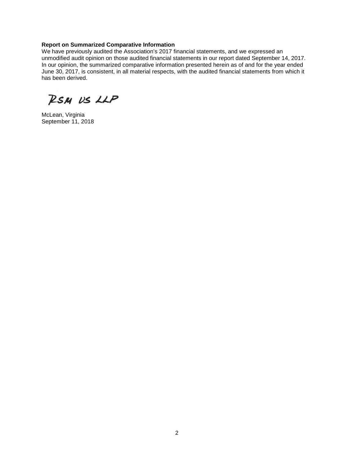#### **Report on Summarized Comparative Information**

We have previously audited the Association's 2017 financial statements, and we expressed an unmodified audit opinion on those audited financial statements in our report dated September 14, 2017. In our opinion, the summarized comparative information presented herein as of and for the year ended June 30, 2017, is consistent, in all material respects, with the audited financial statements from which it has been derived.

RSM US LLP

McLean, Virginia September 11, 2018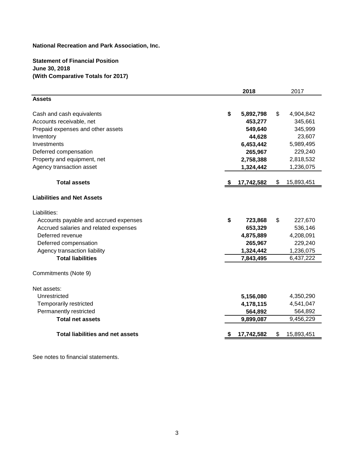**Statement of Financial Position June 30, 2018 (With Comparative Totals for 2017)**

|                                         | 2018            | 2017             |
|-----------------------------------------|-----------------|------------------|
| <b>Assets</b>                           |                 |                  |
| Cash and cash equivalents               | \$<br>5,892,798 | \$<br>4,904,842  |
| Accounts receivable, net                | 453,277         | 345,661          |
| Prepaid expenses and other assets       | 549,640         | 345,999          |
| Inventory                               | 44,628          | 23,607           |
| Investments                             | 6,453,442       | 5,989,495        |
| Deferred compensation                   | 265,967         | 229,240          |
| Property and equipment, net             | 2,758,388       | 2,818,532        |
| Agency transaction asset                | 1,324,442       | 1,236,075        |
| <b>Total assets</b>                     | 17,742,582      | \$<br>15,893,451 |
| <b>Liabilities and Net Assets</b>       |                 |                  |
| Liabilities:                            |                 |                  |
| Accounts payable and accrued expenses   | \$<br>723,868   | \$<br>227,670    |
| Accrued salaries and related expenses   | 653,329         | 536,146          |
| Deferred revenue                        | 4,875,889       | 4,208,091        |
| Deferred compensation                   | 265,967         | 229,240          |
| Agency transaction liability            | 1,324,442       | 1,236,075        |
| <b>Total liabilities</b>                | 7,843,495       | 6,437,222        |
| Commitments (Note 9)                    |                 |                  |
| Net assets:                             |                 |                  |
| Unrestricted                            | 5,156,080       | 4,350,290        |
| Temporarily restricted                  | 4,178,115       | 4,541,047        |
| Permanently restricted                  | 564,892         | 564,892          |
| <b>Total net assets</b>                 | 9,899,087       | 9,456,229        |
|                                         |                 |                  |
| <b>Total liabilities and net assets</b> | 17,742,582      | \$<br>15,893,451 |

See notes to financial statements.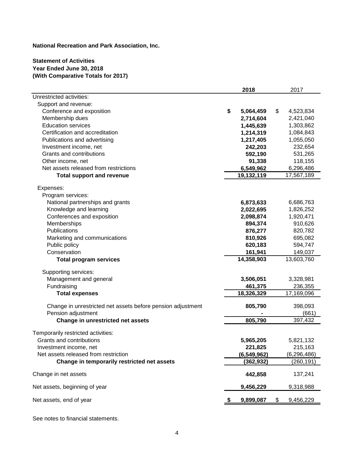# **Statement of Activities Year Ended June 30, 2018 (With Comparative Totals for 2017)**

|                                                             |      | 2018          | 2017            |
|-------------------------------------------------------------|------|---------------|-----------------|
| Unrestricted activities:                                    |      |               |                 |
| Support and revenue:                                        |      |               |                 |
| Conference and exposition                                   | \$   | 5,064,459     | \$<br>4,523,834 |
| Membership dues                                             |      | 2,714,604     | 2,421,040       |
| <b>Education services</b>                                   |      | 1,445,639     | 1,303,862       |
| Certification and accreditation                             |      | 1,214,319     | 1,084,843       |
| Publications and advertising                                |      | 1,217,405     | 1,055,050       |
| Investment income, net                                      |      | 242,203       | 232,654         |
| Grants and contributions                                    |      | 592,190       | 531,265         |
| Other income, net                                           |      | 91,338        | 118,155         |
| Net assets released from restrictions                       |      | 6,549,962     | 6,296,486       |
| <b>Total support and revenue</b>                            |      | 19,132,119    | 17,567,189      |
| Expenses:                                                   |      |               |                 |
| Program services:                                           |      |               |                 |
| National partnerships and grants                            |      | 6,873,633     | 6,686,763       |
| Knowledge and learning                                      |      | 2,022,695     | 1,826,252       |
| Conferences and exposition                                  |      | 2,098,874     | 1,920,471       |
| Memberships                                                 |      | 894,374       | 910,626         |
| Publications                                                |      | 876,277       | 820,782         |
| Marketing and communications                                |      | 810,926       | 695,082         |
| Public policy                                               |      | 620,183       | 594,747         |
| Conservation                                                |      | 161,941       | 149,037         |
| <b>Total program services</b>                               |      | 14,358,903    | 13,603,760      |
| Supporting services:                                        |      |               |                 |
| Management and general                                      |      | 3,506,051     | 3,328,981       |
| Fundraising                                                 |      | 461,375       | 236,355         |
| <b>Total expenses</b>                                       |      | 18,326,329    | 17,169,096      |
| Change in unrestricted net assets before pension adjustment |      | 805,790       | 398,093         |
| Pension adjustment                                          |      |               | (661)           |
| Change in unrestricted net assets                           |      | 805,790       | 397,432         |
|                                                             |      |               |                 |
| Temporarily restricted activities:                          |      |               |                 |
| Grants and contributions                                    |      | 5,965,205     | 5,821,132       |
| Investment income, net                                      |      | 221,825       | 215,163         |
| Net assets released from restriction                        |      | (6, 549, 962) | (6, 296, 486)   |
| Change in temporarily restricted net assets                 |      | (362, 932)    | (260, 191)      |
| Change in net assets                                        |      | 442,858       | 137,241         |
| Net assets, beginning of year                               |      | 9,456,229     | 9,318,988       |
| Net assets, end of year                                     | - \$ | 9,899,087     | \$<br>9,456,229 |

See notes to financial statements.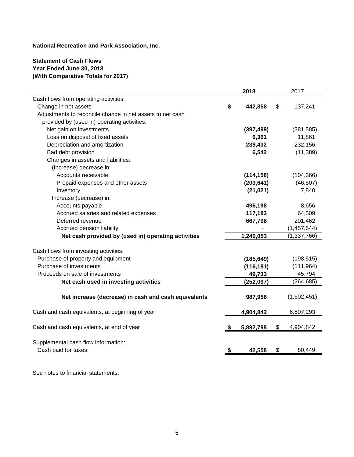# **Statement of Cash Flows Year Ended June 30, 2018 (With Comparative Totals for 2017)**

|                                                           |      | 2018       | 2017            |
|-----------------------------------------------------------|------|------------|-----------------|
| Cash flows from operating activities:                     |      |            |                 |
| Change in net assets                                      | \$   | 442,858    | \$<br>137,241   |
| Adjustments to reconcile change in net assets to net cash |      |            |                 |
| provided by (used in) operating activities:               |      |            |                 |
| Net gain on investments                                   |      | (397, 499) | (381, 585)      |
| Loss on disposal of fixed assets                          |      | 6,361      | 11,861          |
| Depreciation and amortization                             |      | 239,432    | 232,156         |
| Bad debt provision                                        |      | 6,542      | (11, 389)       |
| Changes in assets and liabilities:                        |      |            |                 |
| (Increase) decrease in:                                   |      |            |                 |
| Accounts receivable                                       |      | (114, 158) | (104, 366)      |
| Prepaid expenses and other assets                         |      | (203, 641) | (46, 507)       |
| Inventory                                                 |      | (21, 021)  | 7,840           |
| Increase (decrease) in:                                   |      |            |                 |
| Accounts payable                                          |      | 496,198    | 8,656           |
| Accrued salaries and related expenses                     |      | 117,183    | 64,509          |
| Deferred revenue                                          |      | 667,798    | 201,462         |
| Accrued pension liability                                 |      |            | (1, 457, 644)   |
| Net cash provided by (used in) operating activities       |      | 1,240,053  | (1, 337, 766)   |
| Cash flows from investing activities:                     |      |            |                 |
| Purchase of property and equipment                        |      | (185, 649) | (198, 515)      |
| Purchase of investments                                   |      | (116, 181) | (111, 964)      |
| Proceeds on sale of investments                           |      | 49,733     | 45,794          |
| Net cash used in investing activities                     |      | (252, 097) | (264, 685)      |
|                                                           |      |            |                 |
| Net increase (decrease) in cash and cash equivalents      |      | 987,956    | (1,602,451)     |
| Cash and cash equivalents, at beginning of year           |      | 4,904,842  | 6,507,293       |
| Cash and cash equivalents, at end of year                 | - 56 | 5,892,798  | \$<br>4,904,842 |
|                                                           |      |            |                 |
| Supplemental cash flow information:                       |      |            |                 |
| Cash paid for taxes                                       |      | 42,558     | \$<br>80,449    |
|                                                           |      |            |                 |

See notes to financial statements.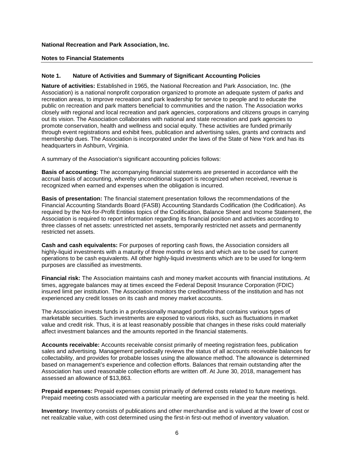#### **Notes to Financial Statements**

#### **Note 1. Nature of Activities and Summary of Significant Accounting Policies**

**Nature of activities:** Established in 1965, the National Recreation and Park Association, Inc. (the Association) is a national nonprofit corporation organized to promote an adequate system of parks and recreation areas, to improve recreation and park leadership for service to people and to educate the public on recreation and park matters beneficial to communities and the nation. The Association works closely with regional and local recreation and park agencies, corporations and citizens groups in carrying out its vision. The Association collaborates with national and state recreation and park agencies to promote conservation, health and wellness and social equity. These activities are funded primarily through event registrations and exhibit fees, publication and advertising sales, grants and contracts and membership dues. The Association is incorporated under the laws of the State of New York and has its headquarters in Ashburn, Virginia.

A summary of the Association's significant accounting policies follows:

**Basis of accounting:** The accompanying financial statements are presented in accordance with the accrual basis of accounting, whereby unconditional support is recognized when received, revenue is recognized when earned and expenses when the obligation is incurred.

**Basis of presentation:** The financial statement presentation follows the recommendations of the Financial Accounting Standards Board (FASB) Accounting Standards Codification (the Codification). As required by the Not-for-Profit Entities topics of the Codification, Balance Sheet and Income Statement, the Association is required to report information regarding its financial position and activities according to three classes of net assets: unrestricted net assets, temporarily restricted net assets and permanently restricted net assets.

**Cash and cash equivalents:** For purposes of reporting cash flows, the Association considers all highly-liquid investments with a maturity of three months or less and which are to be used for current operations to be cash equivalents. All other highly-liquid investments which are to be used for long-term purposes are classified as investments.

**Financial risk:** The Association maintains cash and money market accounts with financial institutions. At times, aggregate balances may at times exceed the Federal Deposit Insurance Corporation (FDIC) insured limit per institution. The Association monitors the creditworthiness of the institution and has not experienced any credit losses on its cash and money market accounts.

The Association invests funds in a professionally managed portfolio that contains various types of marketable securities. Such investments are exposed to various risks, such as fluctuations in market value and credit risk. Thus, it is at least reasonably possible that changes in these risks could materially affect investment balances and the amounts reported in the financial statements.

**Accounts receivable:** Accounts receivable consist primarily of meeting registration fees, publication sales and advertising. Management periodically reviews the status of all accounts receivable balances for collectability, and provides for probable losses using the allowance method. The allowance is determined based on management's experience and collection efforts. Balances that remain outstanding after the Association has used reasonable collection efforts are written off. At June 30, 2018, management has assessed an allowance of \$13,863.

**Prepaid expenses:** Prepaid expenses consist primarily of deferred costs related to future meetings. Prepaid meeting costs associated with a particular meeting are expensed in the year the meeting is held.

**Inventory:** Inventory consists of publications and other merchandise and is valued at the lower of cost or net realizable value, with cost determined using the first-in first-out method of inventory valuation.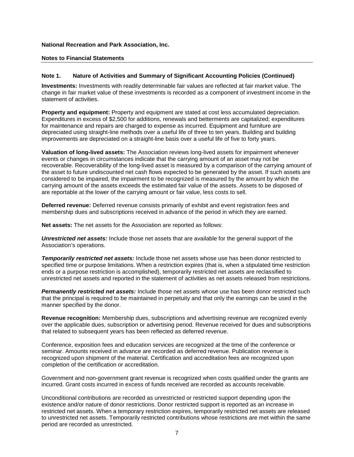#### **Notes to Financial Statements**

#### **Note 1. Nature of Activities and Summary of Significant Accounting Policies (Continued)**

**Investments:** Investments with readily determinable fair values are reflected at fair market value. The change in fair market value of these investments is recorded as a component of investment income in the statement of activities.

**Property and equipment:** Property and equipment are stated at cost less accumulated depreciation. Expenditures in excess of \$2,500 for additions, renewals and betterments are capitalized; expenditures for maintenance and repairs are charged to expense as incurred. Equipment and furniture are depreciated using straight-line methods over a useful life of three to ten years. Building and building improvements are depreciated on a straight-line basis over a useful life of five to forty years.

**Valuation of long-lived assets:** The Association reviews long-lived assets for impairment whenever events or changes in circumstances indicate that the carrying amount of an asset may not be recoverable. Recoverability of the long-lived asset is measured by a comparison of the carrying amount of the asset to future undiscounted net cash flows expected to be generated by the asset. If such assets are considered to be impaired, the impairment to be recognized is measured by the amount by which the carrying amount of the assets exceeds the estimated fair value of the assets. Assets to be disposed of are reportable at the lower of the carrying amount or fair value, less costs to sell.

**Deferred revenue:** Deferred revenue consists primarily of exhibit and event registration fees and membership dues and subscriptions received in advance of the period in which they are earned.

**Net assets:** The net assets for the Association are reported as follows:

*Unrestricted net assets:* Include those net assets that are available for the general support of the Association's operations.

*Temporarily restricted net assets:* Include those net assets whose use has been donor restricted to specified time or purpose limitations. When a restriction expires (that is, when a stipulated time restriction ends or a purpose restriction is accomplished), temporarily restricted net assets are reclassified to unrestricted net assets and reported in the statement of activities as net assets released from restrictions.

*Permanently restricted net assets:* Include those net assets whose use has been donor restricted such that the principal is required to be maintained in perpetuity and that only the earnings can be used in the manner specified by the donor.

**Revenue recognition:** Membership dues, subscriptions and advertising revenue are recognized evenly over the applicable dues, subscription or advertising period. Revenue received for dues and subscriptions that related to subsequent years has been reflected as deferred revenue.

Conference, exposition fees and education services are recognized at the time of the conference or seminar. Amounts received in advance are recorded as deferred revenue. Publication revenue is recognized upon shipment of the material. Certification and accreditation fees are recognized upon completion of the certification or accreditation.

Government and non-government grant revenue is recognized when costs qualified under the grants are incurred. Grant costs incurred in excess of funds received are recorded as accounts receivable.

Unconditional contributions are recorded as unrestricted or restricted support depending upon the existence and/or nature of donor restrictions. Donor restricted support is reported as an increase in restricted net assets. When a temporary restriction expires, temporarily restricted net assets are released to unrestricted net assets. Temporarily restricted contributions whose restrictions are met within the same period are recorded as unrestricted.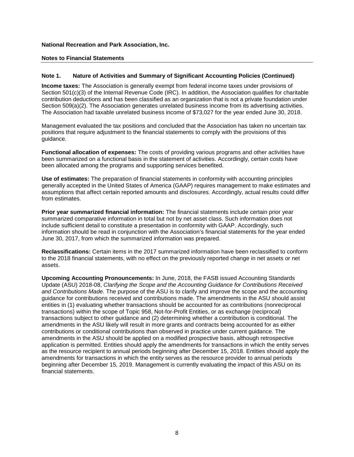#### **Notes to Financial Statements**

#### **Note 1. Nature of Activities and Summary of Significant Accounting Policies (Continued)**

**Income taxes:** The Association is generally exempt from federal income taxes under provisions of Section 501(c)(3) of the Internal Revenue Code (IRC). In addition, the Association qualifies for charitable contribution deductions and has been classified as an organization that is not a private foundation under Section 509(a)(2). The Association generates unrelated business income from its advertising activities. The Association had taxable unrelated business income of \$73,027 for the year ended June 30, 2018.

Management evaluated the tax positions and concluded that the Association has taken no uncertain tax positions that require adjustment to the financial statements to comply with the provisions of this guidance.

**Functional allocation of expenses:** The costs of providing various programs and other activities have been summarized on a functional basis in the statement of activities. Accordingly, certain costs have been allocated among the programs and supporting services benefited.

**Use of estimates:** The preparation of financial statements in conformity with accounting principles generally accepted in the United States of America (GAAP) requires management to make estimates and assumptions that affect certain reported amounts and disclosures. Accordingly, actual results could differ from estimates.

**Prior year summarized financial information:** The financial statements include certain prior year summarized comparative information in total but not by net asset class. Such information does not include sufficient detail to constitute a presentation in conformity with GAAP. Accordingly, such information should be read in conjunction with the Association's financial statements for the year ended June 30, 2017, from which the summarized information was prepared.

**Reclassifications:** Certain items in the 2017 summarized information have been reclassified to conform to the 2018 financial statements, with no effect on the previously reported change in net assets or net assets.

**Upcoming Accounting Pronouncements:** In June, 2018, the FASB issued Accounting Standards Update (ASU) 2018-08, *Clarifying the Scope and the Accounting Guidance for Contributions Received and Contributions Made.* The purpose of the ASU is to clarify and improve the scope and the accounting guidance for contributions received and contributions made. The amendments in the ASU should assist entities in (1) evaluating whether transactions should be accounted for as contributions (nonreciprocal transactions) within the scope of Topic 958, Not-for-Profit Entities, or as exchange (reciprocal) transactions subject to other guidance and (2) determining whether a contribution is conditional. The amendments in the ASU likely will result in more grants and contracts being accounted for as either contributions or conditional contributions than observed in practice under current guidance. The amendments in the ASU should be applied on a modified prospective basis, although retrospective application is permitted. Entities should apply the amendments for transactions in which the entity serves as the resource recipient to annual periods beginning after December 15, 2018. Entities should apply the amendments for transactions in which the entity serves as the resource provider to annual periods beginning after December 15, 2019. Management is currently evaluating the impact of this ASU on its financial statements.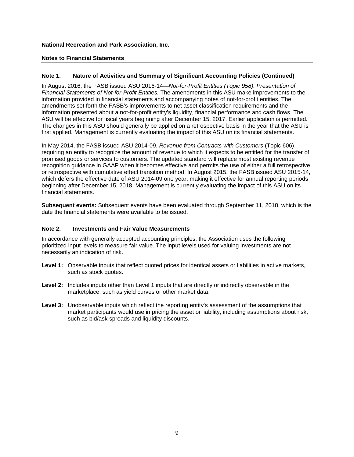#### **Notes to Financial Statements**

#### **Note 1. Nature of Activities and Summary of Significant Accounting Policies (Continued)**

In August 2016, the FASB issued ASU 2016-14—*Not-for-Profit Entities (Topic 958): Presentation of Financial Statements of Not-for-Profit Entities.* The amendments in this ASU make improvements to the information provided in financial statements and accompanying notes of not-for-profit entities. The amendments set forth the FASB's improvements to net asset classification requirements and the information presented about a not-for-profit entity's liquidity, financial performance and cash flows. The ASU will be effective for fiscal years beginning after December 15, 2017. Earlier application is permitted. The changes in this ASU should generally be applied on a retrospective basis in the year that the ASU is first applied. Management is currently evaluating the impact of this ASU on its financial statements.

In May 2014, the FASB issued ASU 2014-09, *Revenue from Contracts with Customers* (Topic 606), requiring an entity to recognize the amount of revenue to which it expects to be entitled for the transfer of promised goods or services to customers. The updated standard will replace most existing revenue recognition guidance in GAAP when it becomes effective and permits the use of either a full retrospective or retrospective with cumulative effect transition method. In August 2015, the FASB issued ASU 2015-14, which defers the effective date of ASU 2014-09 one year, making it effective for annual reporting periods beginning after December 15, 2018. Management is currently evaluating the impact of this ASU on its financial statements.

**Subsequent events:** Subsequent events have been evaluated through September 11, 2018, which is the date the financial statements were available to be issued.

#### **Note 2. Investments and Fair Value Measurements**

In accordance with generally accepted accounting principles, the Association uses the following prioritized input levels to measure fair value. The input levels used for valuing investments are not necessarily an indication of risk.

- **Level 1:** Observable inputs that reflect quoted prices for identical assets or liabilities in active markets, such as stock quotes.
- Level 2: Includes inputs other than Level 1 inputs that are directly or indirectly observable in the marketplace, such as yield curves or other market data.
- **Level 3:** Unobservable inputs which reflect the reporting entity's assessment of the assumptions that market participants would use in pricing the asset or liability, including assumptions about risk, such as bid/ask spreads and liquidity discounts.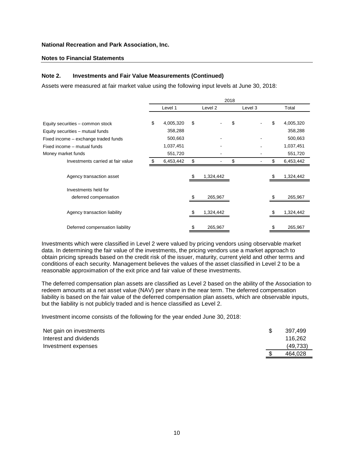#### **Notes to Financial Statements**

## **Note 2. Investments and Fair Value Measurements (Continued)**

Assets were measured at fair market value using the following input levels at June 30, 2018:

|                                                                                                                             |    |           |     |           | 2018 |         |                 |
|-----------------------------------------------------------------------------------------------------------------------------|----|-----------|-----|-----------|------|---------|-----------------|
|                                                                                                                             |    | Level 1   |     | Level 2   |      | Level 3 | Total           |
| Equity securities - common stock                                                                                            | \$ | 4,005,320 | \$  |           | \$   |         | \$<br>4,005,320 |
| Equity securities - mutual funds                                                                                            |    | 358,288   |     |           |      |         | 358,288         |
|                                                                                                                             |    | 500,663   |     |           |      |         | 500,663         |
| Fixed income – mutual funds                                                                                                 |    | 1,037,451 |     |           |      |         | 1,037,451       |
| Fixed income – exchange traded funds<br>Money market funds<br>Investments carried at fair value<br>Agency transaction asset |    | 551,720   |     |           |      |         | 551,720         |
|                                                                                                                             |    | 6,453,442 | \$  |           | \$   |         | \$<br>6,453,442 |
|                                                                                                                             |    |           |     | 1,324,442 |      |         | 1,324,442       |
| Investments held for<br>deferred compensation                                                                               |    |           | \$  | 265,967   |      |         | 265,967         |
| Agency transaction liability                                                                                                |    |           | \$. | 1,324,442 |      |         | 1,324,442       |
| Deferred compensation liability                                                                                             |    |           | \$  | 265,967   |      |         | \$<br>265,967   |

Investments which were classified in Level 2 were valued by pricing vendors using observable market data. In determining the fair value of the investments, the pricing vendors use a market approach to obtain pricing spreads based on the credit risk of the issuer, maturity, current yield and other terms and conditions of each security. Management believes the values of the asset classified in Level 2 to be a reasonable approximation of the exit price and fair value of these investments.

The deferred compensation plan assets are classified as Level 2 based on the ability of the Association to redeem amounts at a net asset value (NAV) per share in the near term. The deferred compensation liability is based on the fair value of the deferred compensation plan assets, which are observable inputs, but the liability is not publicly traded and is hence classified as Level 2.

Investment income consists of the following for the year ended June 30, 2018:

| Net gain on investments | 397.499  |
|-------------------------|----------|
| Interest and dividends  | 116,262  |
| Investment expenses     | (49,733) |
|                         | 464.028  |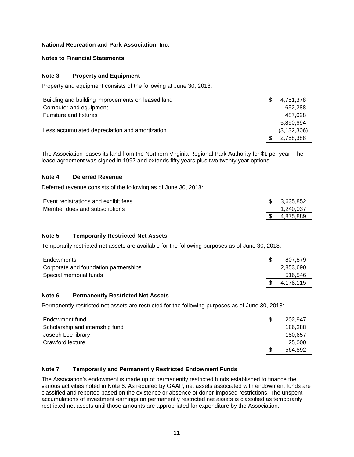#### **Notes to Financial Statements**

#### **Note 3. Property and Equipment**

Property and equipment consists of the following at June 30, 2018:

| Building and building improvements on leased land | 4,751,378     |
|---------------------------------------------------|---------------|
| Computer and equipment                            | 652.288       |
| Furniture and fixtures                            | 487.028       |
|                                                   | 5.890.694     |
| Less accumulated depreciation and amortization    | (3, 132, 306) |
|                                                   | 2.758.388     |

The Association leases its land from the Northern Virginia Regional Park Authority for \$1 per year. The lease agreement was signed in 1997 and extends fifty years plus two twenty year options.

#### **Note 4. Deferred Revenue**

Deferred revenue consists of the following as of June 30, 2018:

| Event registrations and exhibit fees | \$ 3,635,852 |
|--------------------------------------|--------------|
| Member dues and subscriptions        | 1,240,037    |
|                                      | 4.875.889    |

## **Note 5. Temporarily Restricted Net Assets**

Temporarily restricted net assets are available for the following purposes as of June 30, 2018:

| Endowments                            | 807.879   |
|---------------------------------------|-----------|
| Corporate and foundation partnerships | 2.853.690 |
| Special memorial funds                | 516.546   |
|                                       | 4.178.115 |

#### **Note 6. Permanently Restricted Net Assets**

Permanently restricted net assets are restricted for the following purposes as of June 30, 2018:

| Endowment fund                  | S | 202.947 |
|---------------------------------|---|---------|
| Scholarship and internship fund |   | 186.288 |
| Joseph Lee library              |   | 150.657 |
| Crawford lecture                |   | 25,000  |
|                                 |   | 564.892 |

## **Note 7. Temporarily and Permanently Restricted Endowment Funds**

The Association's endowment is made up of permanently restricted funds established to finance the various activities noted in Note 6. As required by GAAP, net assets associated with endowment funds are classified and reported based on the existence or absence of donor-imposed restrictions. The unspent accumulations of investment earnings on permanently restricted net assets is classified as temporarily restricted net assets until those amounts are appropriated for expenditure by the Association.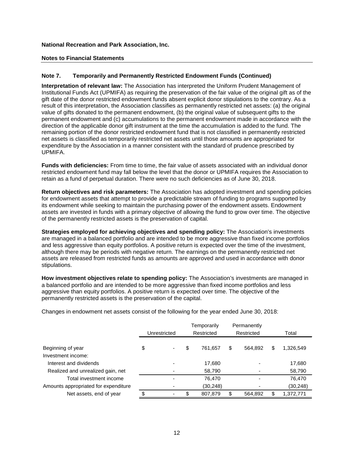#### **Notes to Financial Statements**

#### **Note 7. Temporarily and Permanently Restricted Endowment Funds (Continued)**

**Interpretation of relevant law:** The Association has interpreted the Uniform Prudent Management of Institutional Funds Act (UPMIFA) as requiring the preservation of the fair value of the original gift as of the gift date of the donor restricted endowment funds absent explicit donor stipulations to the contrary. As a result of this interpretation, the Association classifies as permanently restricted net assets: (a) the original value of gifts donated to the permanent endowment, (b) the original value of subsequent gifts to the permanent endowment and (c) accumulations to the permanent endowment made in accordance with the direction of the applicable donor gift instrument at the time the accumulation is added to the fund. The remaining portion of the donor restricted endowment fund that is not classified in permanently restricted net assets is classified as temporarily restricted net assets until those amounts are appropriated for expenditure by the Association in a manner consistent with the standard of prudence prescribed by UPMIFA.

**Funds with deficiencies:** From time to time, the fair value of assets associated with an individual donor restricted endowment fund may fall below the level that the donor or UPMIFA requires the Association to retain as a fund of perpetual duration. There were no such deficiencies as of June 30, 2018.

**Return objectives and risk parameters:** The Association has adopted investment and spending policies for endowment assets that attempt to provide a predictable stream of funding to programs supported by its endowment while seeking to maintain the purchasing power of the endowment assets. Endowment assets are invested in funds with a primary objective of allowing the fund to grow over time. The objective of the permanently restricted assets is the preservation of capital.

**Strategies employed for achieving objectives and spending policy:** The Association's investments are managed in a balanced portfolio and are intended to be more aggressive than fixed income portfolios and less aggressive than equity portfolios. A positive return is expected over the time of the investment, although there may be periods with negative return. The earnings on the permanently restricted net assets are released from restricted funds as amounts are approved and used in accordance with donor stipulations.

**How investment objectives relate to spending policy:** The Association's investments are managed in a balanced portfolio and are intended to be more aggressive than fixed income portfolios and less aggressive than equity portfolios. A positive return is expected over time. The objective of the permanently restricted assets is the preservation of the capital.

|                                      |    |                          |    | Temporarily | Permanently   |                 |
|--------------------------------------|----|--------------------------|----|-------------|---------------|-----------------|
|                                      |    | Unrestricted             |    | Restricted  | Restricted    | Total           |
|                                      |    |                          |    |             |               |                 |
| Beginning of year                    | \$ | $\overline{\phantom{a}}$ | \$ | 761.657     | \$<br>564.892 | \$<br>1,326,549 |
| Investment income:                   |    |                          |    |             |               |                 |
| Interest and dividends               |    |                          |    | 17,680      |               | 17,680          |
| Realized and unrealized gain, net    |    |                          |    | 58,790      |               | 58,790          |
| Total investment income              |    |                          |    | 76.470      |               | 76,470          |
| Amounts appropriated for expenditure |    |                          |    | (30,248)    |               | (30,248)        |
| Net assets, end of year              |    |                          |    | 807,879     | \$<br>564,892 | 1,372,771       |

Changes in endowment net assets consist of the following for the year ended June 30, 2018: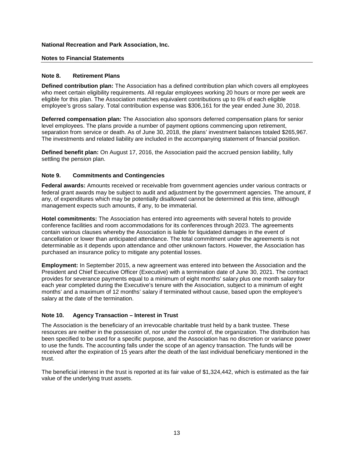#### **Notes to Financial Statements**

#### **Note 8. Retirement Plans**

**Defined contribution plan:** The Association has a defined contribution plan which covers all employees who meet certain eligibility requirements. All regular employees working 20 hours or more per week are eligible for this plan. The Association matches equivalent contributions up to 6% of each eligible employee's gross salary. Total contribution expense was \$306,161 for the year ended June 30, 2018.

**Deferred compensation plan:** The Association also sponsors deferred compensation plans for senior level employees. The plans provide a number of payment options commencing upon retirement, separation from service or death. As of June 30, 2018, the plans' investment balances totaled \$265,967. The investments and related liability are included in the accompanying statement of financial position.

**Defined benefit plan:** On August 17, 2016, the Association paid the accrued pension liability, fully settling the pension plan.

#### **Note 9. Commitments and Contingencies**

**Federal awards:** Amounts received or receivable from government agencies under various contracts or federal grant awards may be subject to audit and adjustment by the government agencies. The amount, if any, of expenditures which may be potentially disallowed cannot be determined at this time, although management expects such amounts, if any, to be immaterial.

**Hotel commitments:** The Association has entered into agreements with several hotels to provide conference facilities and room accommodations for its conferences through 2023. The agreements contain various clauses whereby the Association is liable for liquidated damages in the event of cancellation or lower than anticipated attendance. The total commitment under the agreements is not determinable as it depends upon attendance and other unknown factors. However, the Association has purchased an insurance policy to mitigate any potential losses.

**Employment:** In September 2015, a new agreement was entered into between the Association and the President and Chief Executive Officer (Executive) with a termination date of June 30, 2021. The contract provides for severance payments equal to a minimum of eight months' salary plus one month salary for each year completed during the Executive's tenure with the Association, subject to a minimum of eight months' and a maximum of 12 months' salary if terminated without cause, based upon the employee's salary at the date of the termination.

## **Note 10. Agency Transaction – Interest in Trust**

The Association is the beneficiary of an irrevocable charitable trust held by a bank trustee. These resources are neither in the possession of, nor under the control of, the organization. The distribution has been specified to be used for a specific purpose, and the Association has no discretion or variance power to use the funds. The accounting falls under the scope of an agency transaction. The funds will be received after the expiration of 15 years after the death of the last individual beneficiary mentioned in the trust.

The beneficial interest in the trust is reported at its fair value of \$1,324,442, which is estimated as the fair value of the underlying trust assets.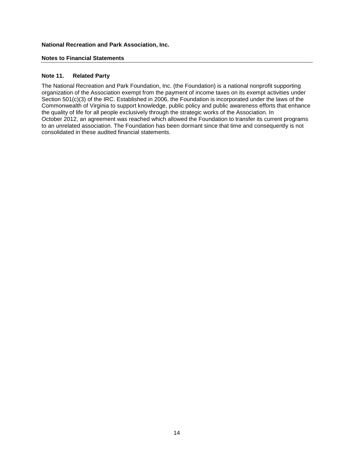#### **Notes to Financial Statements**

#### **Note 11. Related Party**

The National Recreation and Park Foundation, Inc. (the Foundation) is a national nonprofit supporting organization of the Association exempt from the payment of income taxes on its exempt activities under Section 501(c)(3) of the IRC. Established in 2006, the Foundation is incorporated under the laws of the Commonwealth of Virginia to support knowledge, public policy and public awareness efforts that enhance the quality of life for all people exclusively through the strategic works of the Association. In October 2012, an agreement was reached which allowed the Foundation to transfer its current programs to an unrelated association. The Foundation has been dormant since that time and consequently is not consolidated in these audited financial statements.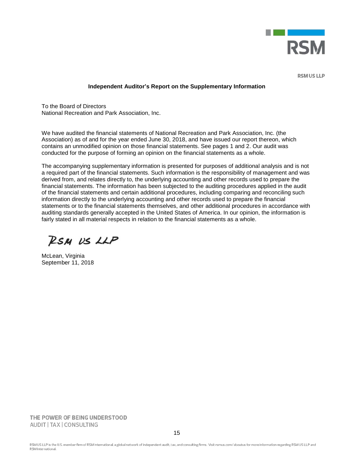

**RSM US LLP** 

#### **Independent Auditor's Report on the Supplementary Information**

To the Board of Directors National Recreation and Park Association, Inc.

We have audited the financial statements of National Recreation and Park Association, Inc. (the Association) as of and for the year ended June 30, 2018, and have issued our report thereon, which contains an unmodified opinion on those financial statements. See pages 1 and 2. Our audit was conducted for the purpose of forming an opinion on the financial statements as a whole.

The accompanying supplementary information is presented for purposes of additional analysis and is not a required part of the financial statements. Such information is the responsibility of management and was derived from, and relates directly to, the underlying accounting and other records used to prepare the financial statements. The information has been subjected to the auditing procedures applied in the audit of the financial statements and certain additional procedures, including comparing and reconciling such information directly to the underlying accounting and other records used to prepare the financial statements or to the financial statements themselves, and other additional procedures in accordance with auditing standards generally accepted in the United States of America. In our opinion, the information is fairly stated in all material respects in relation to the financial statements as a whole.

RSM US LLP

McLean, Virginia September 11, 2018

THE POWER OF BEING UNDERSTOOD AUDIT | TAX | CONSULTING